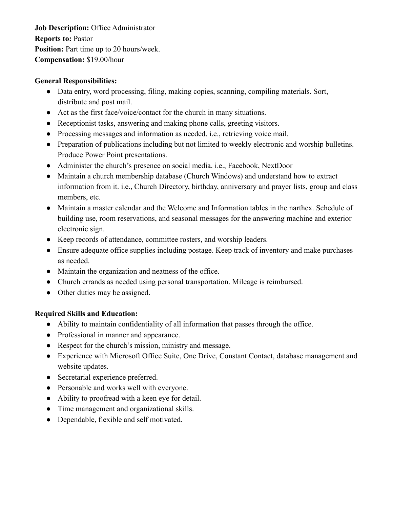**Job Description:** Office Administrator **Reports to:** Pastor **Position:** Part time up to 20 hours/week. **Compensation:** \$19.00/hour

### **General Responsibilities:**

- Data entry, word processing, filing, making copies, scanning, compiling materials. Sort, distribute and post mail.
- Act as the first face/voice/contact for the church in many situations.
- Receptionist tasks, answering and making phone calls, greeting visitors.
- Processing messages and information as needed. i.e., retrieving voice mail.
- Preparation of publications including but not limited to weekly electronic and worship bulletins. Produce Power Point presentations.
- Administer the church's presence on social media. i.e., Facebook, NextDoor
- Maintain a church membership database (Church Windows) and understand how to extract information from it. i.e., Church Directory, birthday, anniversary and prayer lists, group and class members, etc.
- Maintain a master calendar and the Welcome and Information tables in the narthex. Schedule of building use, room reservations, and seasonal messages for the answering machine and exterior electronic sign.
- Keep records of attendance, committee rosters, and worship leaders.
- Ensure adequate office supplies including postage. Keep track of inventory and make purchases as needed.
- Maintain the organization and neatness of the office.
- Church errands as needed using personal transportation. Mileage is reimbursed.
- Other duties may be assigned.

# **Required Skills and Education:**

- Ability to maintain confidentiality of all information that passes through the office.
- Professional in manner and appearance.
- Respect for the church's mission, ministry and message.
- Experience with Microsoft Office Suite, One Drive, Constant Contact, database management and website updates.
- Secretarial experience preferred.
- Personable and works well with everyone.
- Ability to proofread with a keen eye for detail.
- Time management and organizational skills.
- Dependable, flexible and self motivated.